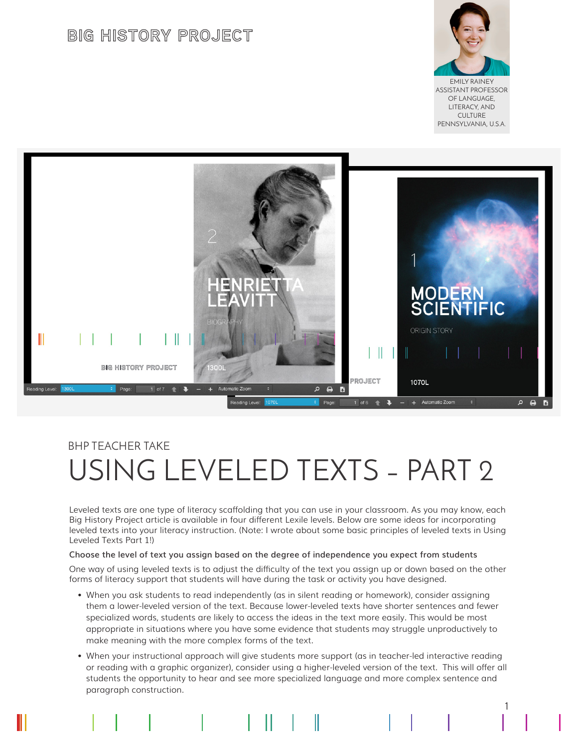# **BIG HISTORY PROJECT**



EMILY RAINEY ASSISTANT PROFESSOR OF LANGUAGE, LITERACY, AND CULTURE PENNSYLVANIA, U.S.A.

1



# BHP TEACHER TAKE USING LEVELED TEXTS – PART 2

Leveled texts are one type of literacy scaffolding that you can use in your classroom. As you may know, each Big History Project article is available in four different Lexile levels. Below are some ideas for incorporating leveled texts into your literacy instruction. (Note: I wrote about some basic principles of leveled texts in Using Leveled Texts Part 1!)

#### **Choose the level of text you assign based on the degree of independence you expect from students**

One way of using leveled texts is to adjust the difficulty of the text you assign up or down based on the other forms of literacy support that students will have during the task or activity you have designed.

- When you ask students to read independently (as in silent reading or homework), consider assigning them a lower-leveled version of the text. Because lower-leveled texts have shorter sentences and fewer specialized words, students are likely to access the ideas in the text more easily. This would be most appropriate in situations where you have some evidence that students may struggle unproductively to make meaning with the more complex forms of the text.
- When your instructional approach will give students more support (as in teacher-led interactive reading or reading with a graphic organizer), consider using a higher-leveled version of the text. This will offer all students the opportunity to hear and see more specialized language and more complex sentence and paragraph construction.